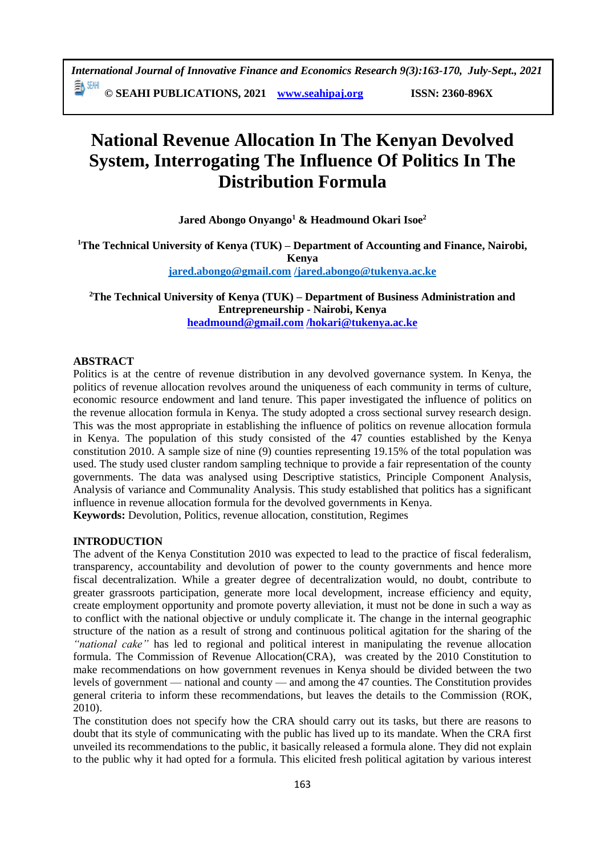# **National Revenue Allocation In The Kenyan Devolved System, Interrogating The Influence Of Politics In The Distribution Formula**

**Jared Abongo Onyango<sup>1</sup> & Headmound Okari Isoe<sup>2</sup>**

**<sup>1</sup>The Technical University of Kenya (TUK) – Department of Accounting and Finance, Nairobi, Kenya [jared.abongo@gmail.com](mailto:jared.abongo@gmail.com) [/jared.abongo@tukenya.ac.ke](mailto:/jared.abongo@tukenya.ac.ke)**

**<sup>2</sup>The Technical University of Kenya (TUK) – Department of Business Administration and Entrepreneurship - Nairobi, Kenya [headmound@gmail.com](mailto:headmound@gmail.com) [/hokari@tukenya.ac.ke](mailto:/hokari@tukenya.ac.ke)**

#### **ABSTRACT**

Politics is at the centre of revenue distribution in any devolved governance system. In Kenya, the politics of revenue allocation revolves around the uniqueness of each community in terms of culture, economic resource endowment and land tenure. This paper investigated the influence of politics on the revenue allocation formula in Kenya. The study adopted a cross sectional survey research design. This was the most appropriate in establishing the influence of politics on revenue allocation formula in Kenya. The population of this study consisted of the  $47$  counties established by the Kenya constitution 2010. A sample size of nine (9) counties representing 19.15% of the total population was used. The study used cluster random sampling technique to provide a fair representation of the county governments. The data was analysed using Descriptive statistics, Principle Component Analysis, Analysis of variance and Communality Analysis. This study established that politics has a significant influence in revenue allocation formula for the devolved governments in Kenya.

**Keywords:** Devolution, Politics, revenue allocation, constitution, Regimes

#### **INTRODUCTION**

The advent of the Kenya Constitution 2010 was expected to lead to the practice of fiscal federalism, transparency, accountability and devolution of power to the county governments and hence more fiscal decentralization. While a greater degree of decentralization would, no doubt, contribute to greater grassroots participation, generate more local development, increase efficiency and equity, create employment opportunity and promote poverty alleviation, it must not be done in such a way as to conflict with the national objective or unduly complicate it. The change in the internal geographic structure of the nation as a result of strong and continuous political agitation for the sharing of the *"national cake"* has led to regional and political interest in manipulating the revenue allocation formula. The Commission of Revenue Allocation(CRA), was created by the 2010 Constitution to make recommendations on how government revenues in Kenya should be divided between the two levels of government — national and county — and among the 47 counties. The Constitution provides general criteria to inform these recommendations, but leaves the details to the Commission (ROK, 2010).

The constitution does not specify how the CRA should carry out its tasks, but there are reasons to doubt that its style of communicating with the public has lived up to its mandate. When the CRA first unveiled its recommendations to the public, it basically released a formula alone. They did not explain to the public why it had opted for a formula. This elicited fresh political agitation by various interest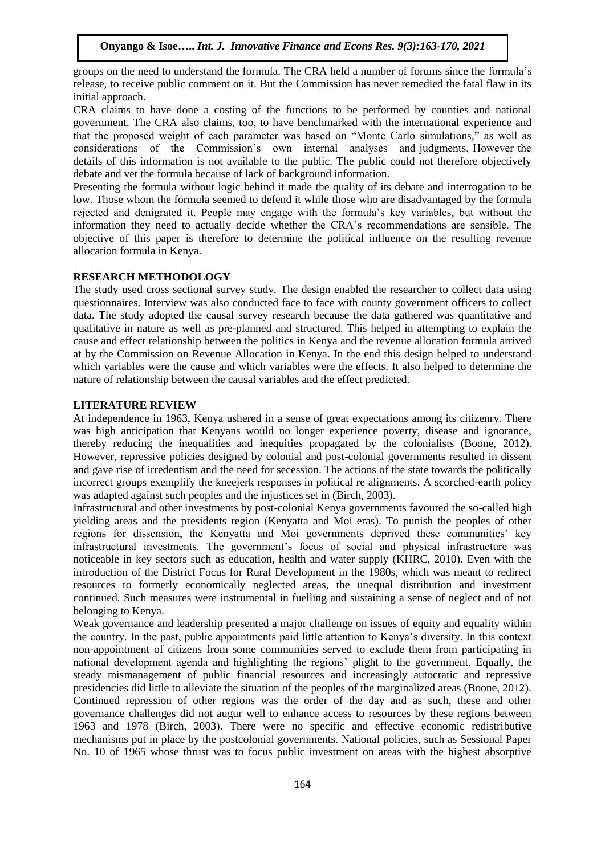groups on the need to understand the formula. The CRA held a number of forums since the formula's release, to receive public comment on it. But the Commission has never remedied the fatal flaw in its initial approach.

CRA claims to have done a costing of the functions to be performed by counties and national government. The CRA also claims, too, to have benchmarked with the international experience and that the proposed weight of each parameter was based on "Monte Carlo simulations," as well as considerations of the Commission's own internal analyses and judgments. However the details of this information is not available to the public. The public could not therefore objectively debate and vet the formula because of lack of background information.

Presenting the formula without logic behind it made the quality of its debate and interrogation to be low. Those whom the formula seemed to defend it while those who are disadvantaged by the formula rejected and denigrated it. People may engage with the formula's key variables, but without the information they need to actually decide whether the CRA's recommendations are sensible. The objective of this paper is therefore to determine the political influence on the resulting revenue allocation formula in Kenya.

#### **RESEARCH METHODOLOGY**

The study used cross sectional survey study. The design enabled the researcher to collect data using questionnaires. Interview was also conducted face to face with county government officers to collect data. The study adopted the causal survey research because the data gathered was quantitative and qualitative in nature as well as pre-planned and structured. This helped in attempting to explain the cause and effect relationship between the politics in Kenya and the revenue allocation formula arrived at by the Commission on Revenue Allocation in Kenya. In the end this design helped to understand which variables were the cause and which variables were the effects. It also helped to determine the nature of relationship between the causal variables and the effect predicted.

#### **LITERATURE REVIEW**

At independence in 1963, Kenya ushered in a sense of great expectations among its citizenry. There was high anticipation that Kenyans would no longer experience poverty, disease and ignorance, thereby reducing the inequalities and inequities propagated by the colonialists (Boone, 2012). However, repressive policies designed by colonial and post-colonial governments resulted in dissent and gave rise of irredentism and the need for secession. The actions of the state towards the politically incorrect groups exemplify the kneejerk responses in political re alignments. A scorched-earth policy was adapted against such peoples and the injustices set in (Birch, 2003).

Infrastructural and other investments by post-colonial Kenya governments favoured the so-called high yielding areas and the presidents region (Kenyatta and Moi eras). To punish the peoples of other regions for dissension, the Kenyatta and Moi governments deprived these communities' key infrastructural investments. The government's focus of social and physical infrastructure was noticeable in key sectors such as education, health and water supply (KHRC, 2010). Even with the introduction of the District Focus for Rural Development in the 1980s, which was meant to redirect resources to formerly economically neglected areas, the unequal distribution and investment continued. Such measures were instrumental in fuelling and sustaining a sense of neglect and of not belonging to Kenya.

Weak governance and leadership presented a major challenge on issues of equity and equality within the country. In the past, public appointments paid little attention to Kenya's diversity. In this context non-appointment of citizens from some communities served to exclude them from participating in national development agenda and highlighting the regions' plight to the government. Equally, the steady mismanagement of public financial resources and increasingly autocratic and repressive presidencies did little to alleviate the situation of the peoples of the marginalized areas (Boone, 2012). Continued repression of other regions was the order of the day and as such, these and other governance challenges did not augur well to enhance access to resources by these regions between 1963 and 1978 (Birch, 2003). There were no specific and effective economic redistributive mechanisms put in place by the postcolonial governments. National policies, such as Sessional Paper No. 10 of 1965 whose thrust was to focus public investment on areas with the highest absorptive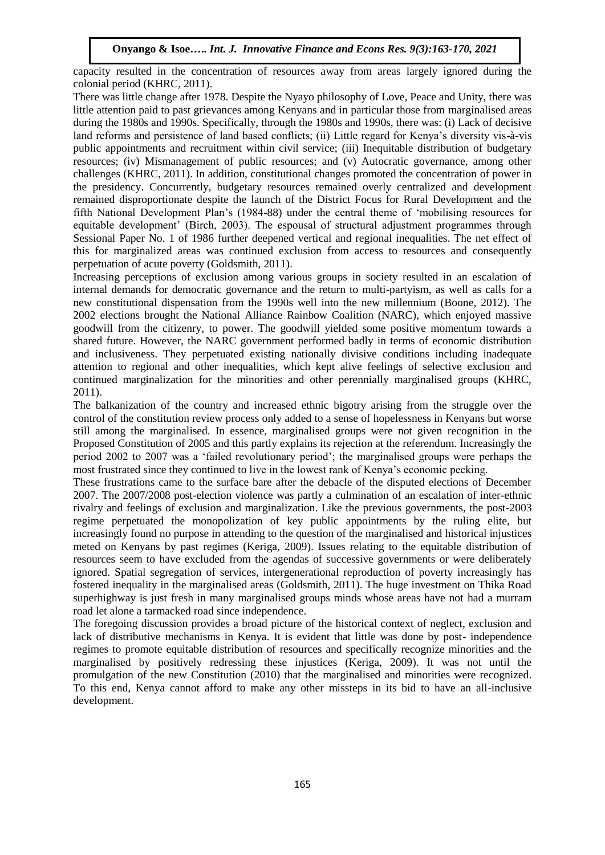capacity resulted in the concentration of resources away from areas largely ignored during the colonial period (KHRC, 2011).

There was little change after 1978. Despite the Nyayo philosophy of Love, Peace and Unity, there was little attention paid to past grievances among Kenyans and in particular those from marginalised areas during the 1980s and 1990s. Specifically, through the 1980s and 1990s, there was: (i) Lack of decisive land reforms and persistence of land based conflicts; (ii) Little regard for Kenya's diversity vis-à-vis public appointments and recruitment within civil service; (iii) Inequitable distribution of budgetary resources; (iv) Mismanagement of public resources; and (v) Autocratic governance, among other challenges (KHRC, 2011). In addition, constitutional changes promoted the concentration of power in the presidency. Concurrently, budgetary resources remained overly centralized and development remained disproportionate despite the launch of the District Focus for Rural Development and the fifth National Development Plan's (1984-88) under the central theme of 'mobilising resources for equitable development' (Birch, 2003). The espousal of structural adjustment programmes through Sessional Paper No. 1 of 1986 further deepened vertical and regional inequalities. The net effect of this for marginalized areas was continued exclusion from access to resources and consequently perpetuation of acute poverty (Goldsmith, 2011).

Increasing perceptions of exclusion among various groups in society resulted in an escalation of internal demands for democratic governance and the return to multi-partyism, as well as calls for a new constitutional dispensation from the 1990s well into the new millennium (Boone, 2012). The 2002 elections brought the National Alliance Rainbow Coalition (NARC), which enjoyed massive goodwill from the citizenry, to power. The goodwill yielded some positive momentum towards a shared future. However, the NARC government performed badly in terms of economic distribution and inclusiveness. They perpetuated existing nationally divisive conditions including inadequate attention to regional and other inequalities, which kept alive feelings of selective exclusion and continued marginalization for the minorities and other perennially marginalised groups (KHRC, 2011).

The balkanization of the country and increased ethnic bigotry arising from the struggle over the control of the constitution review process only added to a sense of hopelessness in Kenyans but worse still among the marginalised. In essence, marginalised groups were not given recognition in the Proposed Constitution of 2005 and this partly explains its rejection at the referendum. Increasingly the period 2002 to 2007 was a 'failed revolutionary period'; the marginalised groups were perhaps the most frustrated since they continued to live in the lowest rank of Kenya's economic pecking.

These frustrations came to the surface bare after the debacle of the disputed elections of December 2007. The 2007/2008 post-election violence was partly a culmination of an escalation of inter-ethnic rivalry and feelings of exclusion and marginalization. Like the previous governments, the post-2003 regime perpetuated the monopolization of key public appointments by the ruling elite, but increasingly found no purpose in attending to the question of the marginalised and historical injustices meted on Kenyans by past regimes (Keriga, 2009). Issues relating to the equitable distribution of resources seem to have excluded from the agendas of successive governments or were deliberately ignored. Spatial segregation of services, intergenerational reproduction of poverty increasingly has fostered inequality in the marginalised areas (Goldsmith, 2011). The huge investment on Thika Road superhighway is just fresh in many marginalised groups minds whose areas have not had a murram road let alone a tarmacked road since independence.

The foregoing discussion provides a broad picture of the historical context of neglect, exclusion and lack of distributive mechanisms in Kenya. It is evident that little was done by post- independence regimes to promote equitable distribution of resources and specifically recognize minorities and the marginalised by positively redressing these injustices (Keriga, 2009). It was not until the promulgation of the new Constitution (2010) that the marginalised and minorities were recognized. To this end, Kenya cannot afford to make any other missteps in its bid to have an all-inclusive development.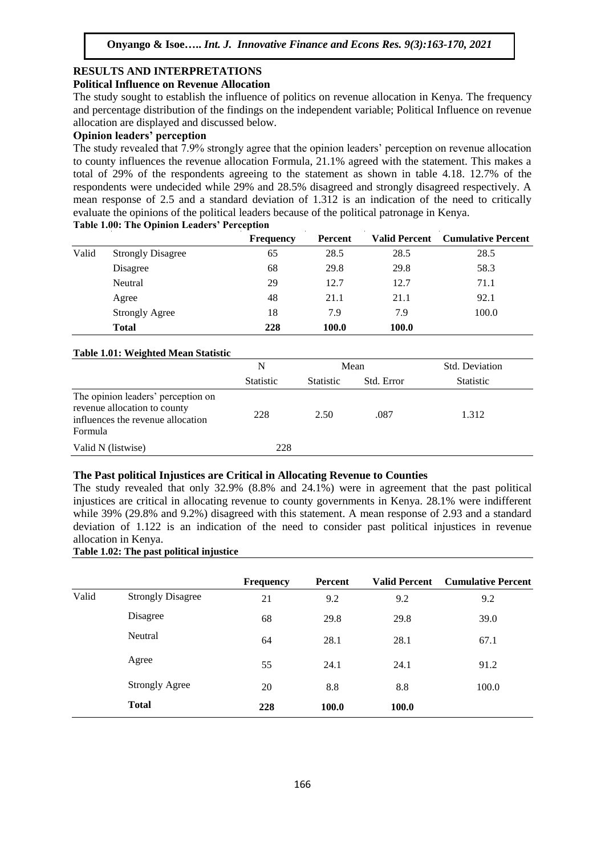## **RESULTS AND INTERPRETATIONS**

#### **Political Influence on Revenue Allocation**

The study sought to establish the influence of politics on revenue allocation in Kenya. The frequency and percentage distribution of the findings on the independent variable; Political Influence on revenue allocation are displayed and discussed below.

#### **Opinion leaders' perception**

The study revealed that 7.9% strongly agree that the opinion leaders' perception on revenue allocation to county influences the revenue allocation Formula, 21.1% agreed with the statement. This makes a total of 29% of the respondents agreeing to the statement as shown in table 4.18. 12.7% of the respondents were undecided while 29% and 28.5% disagreed and strongly disagreed respectively. A mean response of 2.5 and a standard deviation of 1.312 is an indication of the need to critically evaluate the opinions of the political leaders because of the political patronage in Kenya. **Table 1.00: The Opinion Leaders' Perception**

|       |                          | <b>Frequency</b> | Percent |       | <b>Valid Percent</b> Cumulative Percent |
|-------|--------------------------|------------------|---------|-------|-----------------------------------------|
| Valid | <b>Strongly Disagree</b> | 65               | 28.5    | 28.5  | 28.5                                    |
|       | Disagree                 | 68               | 29.8    | 29.8  | 58.3                                    |
|       | Neutral                  | 29               | 12.7    | 12.7  | 71.1                                    |
|       | Agree                    | 48               | 21.1    | 21.1  | 92.1                                    |
|       | <b>Strongly Agree</b>    | 18               | 7.9     | 7.9   | 100.0                                   |
|       | <b>Total</b>             | 228              | 100.0   | 100.0 |                                         |

#### **Table 1.01: Weighted Mean Statistic**

|                                                                                                                    | N                |                  | Mean       | <b>Std. Deviation</b> |
|--------------------------------------------------------------------------------------------------------------------|------------------|------------------|------------|-----------------------|
|                                                                                                                    | <b>Statistic</b> | <b>Statistic</b> | Std. Error | <b>Statistic</b>      |
| The opinion leaders' perception on<br>revenue allocation to county<br>influences the revenue allocation<br>Formula | 228              | 2.50             | .087       | 1.312                 |
| Valid N (listwise)                                                                                                 | 228              |                  |            |                       |

#### **The Past political Injustices are Critical in Allocating Revenue to Counties**

The study revealed that only 32.9% (8.8% and 24.1%) were in agreement that the past political injustices are critical in allocating revenue to county governments in Kenya. 28.1% were indifferent while 39% (29.8% and 9.2%) disagreed with this statement. A mean response of 2.93 and a standard deviation of 1.122 is an indication of the need to consider past political injustices in revenue allocation in Kenya.

### **Table 1.02: The past political injustice**

|       |                          | <b>Frequency</b> | <b>Percent</b> | <b>Valid Percent</b> | <b>Cumulative Percent</b> |
|-------|--------------------------|------------------|----------------|----------------------|---------------------------|
| Valid | <b>Strongly Disagree</b> | 21               | 9.2            | 9.2                  | 9.2                       |
|       | Disagree                 | 68               | 29.8           | 29.8                 | 39.0                      |
|       | Neutral                  | 64               | 28.1           | 28.1                 | 67.1                      |
|       | Agree                    | 55               | 24.1           | 24.1                 | 91.2                      |
|       | <b>Strongly Agree</b>    | 20               | 8.8            | 8.8                  | 100.0                     |
|       | <b>Total</b>             | 228              | 100.0          | 100.0                |                           |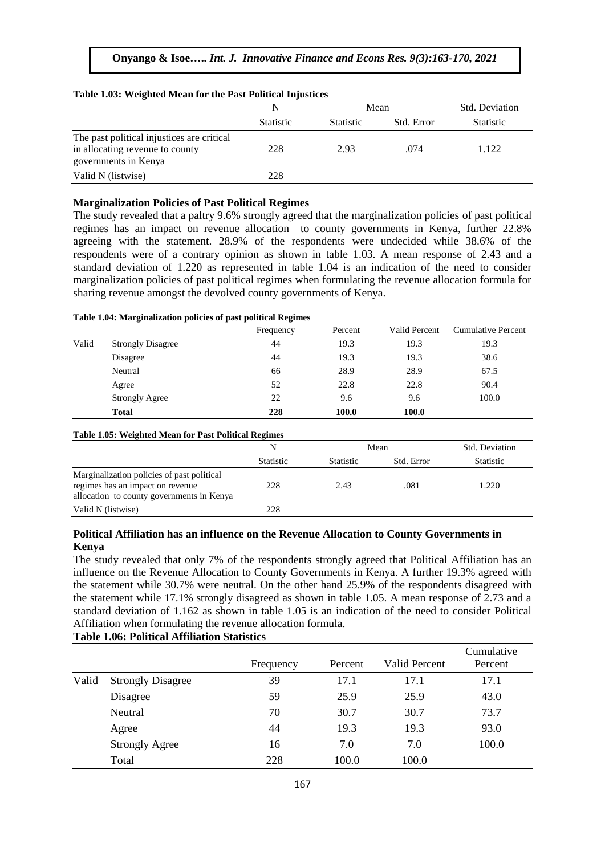#### **Onyango & Isoe…..** *Int. J. Innovative Finance and Econs Res. 9(3):163-170, 2021*

# **Table 1.03: Weighted Mean for the Past Political Injustices**

|                                                                                                       | N                |                  | Mean       | Std. Deviation   |
|-------------------------------------------------------------------------------------------------------|------------------|------------------|------------|------------------|
|                                                                                                       | <b>Statistic</b> | <b>Statistic</b> | Std. Error | <b>Statistic</b> |
| The past political injustices are critical<br>in allocating revenue to county<br>governments in Kenya | 228              | 2.93             | .074       | 1.122            |
| Valid N (listwise)                                                                                    | 228              |                  |            |                  |

#### **Marginalization Policies of Past Political Regimes**

The study revealed that a paltry 9.6% strongly agreed that the marginalization policies of past political regimes has an impact on revenue allocation to county governments in Kenya, further 22.8% agreeing with the statement. 28.9% of the respondents were undecided while 38.6% of the respondents were of a contrary opinion as shown in table 1.03. A mean response of 2.43 and a standard deviation of 1.220 as represented in table 1.04 is an indication of the need to consider marginalization policies of past political regimes when formulating the revenue allocation formula for sharing revenue amongst the devolved county governments of Kenya.

#### **Table 1.04: Marginalization policies of past political Regimes**

|       |                                                                                                                             | Frequency | Percent          | <b>Valid Percent</b> | <b>Cumulative Percent</b> |
|-------|-----------------------------------------------------------------------------------------------------------------------------|-----------|------------------|----------------------|---------------------------|
| Valid | <b>Strongly Disagree</b>                                                                                                    | 44        | 19.3             | 19.3                 | 19.3                      |
|       | Disagree                                                                                                                    | 44        | 19.3             | 19.3                 | 38.6                      |
|       | Neutral                                                                                                                     | 66        | 28.9             | 28.9                 | 67.5                      |
|       | Agree                                                                                                                       | 52        | 22.8             | 22.8                 | 90.4                      |
|       | <b>Strongly Agree</b>                                                                                                       | 22        | 9.6              | 9.6                  | 100.0                     |
|       | <b>Total</b>                                                                                                                | 228       | 100.0            | 100.0                |                           |
|       | <b>Table 1.05: Weighted Mean for Past Political Regimes</b>                                                                 |           |                  |                      |                           |
|       |                                                                                                                             | N         |                  | Mean                 | Std. Deviation            |
|       |                                                                                                                             | Statistic | <b>Statistic</b> | Std. Error           | <b>Statistic</b>          |
|       | Marginalization policies of past political<br>regimes has an impact on revenue<br>allocation to county governments in Kenya | 228       | 2.43             | .081                 | 1.220                     |

#### **Political Affiliation has an influence on the Revenue Allocation to County Governments in Kenya**

The study revealed that only 7% of the respondents strongly agreed that Political Affiliation has an influence on the Revenue Allocation to County Governments in Kenya. A further 19.3% agreed with the statement while 30.7% were neutral. On the other hand 25.9% of the respondents disagreed with the statement while 17.1% strongly disagreed as shown in table 1.05. A mean response of 2.73 and a standard deviation of 1.162 as shown in table 1.05 is an indication of the need to consider Political Affiliation when formulating the revenue allocation formula. **Table 1.06: Political Affiliation Statistics**

|       |                          | Frequency | Percent | Valid Percent | Cumulative<br>Percent |
|-------|--------------------------|-----------|---------|---------------|-----------------------|
| Valid | <b>Strongly Disagree</b> | 39        | 17.1    | 17.1          | 17.1                  |
|       | Disagree                 | 59        | 25.9    | 25.9          | 43.0                  |
|       | Neutral                  | 70        | 30.7    | 30.7          | 73.7                  |
|       | Agree                    | 44        | 19.3    | 19.3          | 93.0                  |
|       | <b>Strongly Agree</b>    | 16        | 7.0     | 7.0           | 100.0                 |
|       | Total                    | 228       | 100.0   | 100.0         |                       |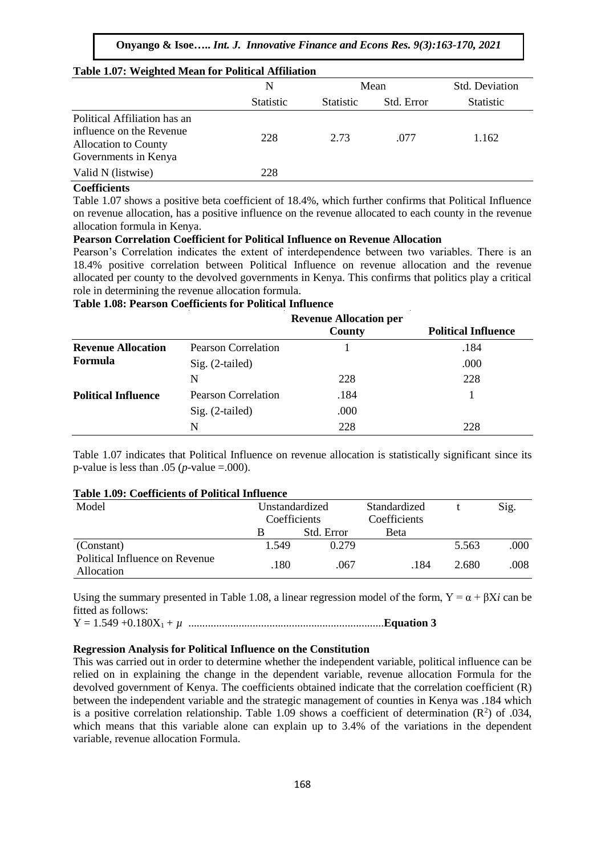#### **Onyango & Isoe…..** *Int. J. Innovative Finance and Econs Res. 9(3):163-170, 2021*

| Table 1.07: Weighted Mean for Political Affiliation                                                             |                  |                  |            |                  |  |
|-----------------------------------------------------------------------------------------------------------------|------------------|------------------|------------|------------------|--|
|                                                                                                                 | N                |                  | Mean       | Std. Deviation   |  |
|                                                                                                                 | <b>Statistic</b> | <b>Statistic</b> | Std. Error | <b>Statistic</b> |  |
| Political Affiliation has an<br>influence on the Revenue<br><b>Allocation to County</b><br>Governments in Kenya | 228              | 2.73             | .077       | 1.162            |  |
| Valid N (listwise)                                                                                              | 228              |                  |            |                  |  |

#### **Coefficients**

Table 1.07 shows a positive beta coefficient of 18.4%, which further confirms that Political Influence on revenue allocation, has a positive influence on the revenue allocated to each county in the revenue allocation formula in Kenya.

#### **Pearson Correlation Coefficient for Political Influence on Revenue Allocation**

Pearson's Correlation indicates the extent of interdependence between two variables. There is an 18.4% positive correlation between Political Influence on revenue allocation and the revenue allocated per county to the devolved governments in Kenya. This confirms that politics play a critical role in determining the revenue allocation formula.

#### **Table 1.08: Pearson Coefficients for Political Influence**

|                            |                            | <b>Revenue Allocation per</b> |                            |
|----------------------------|----------------------------|-------------------------------|----------------------------|
|                            |                            | County                        | <b>Political Influence</b> |
| <b>Revenue Allocation</b>  | Pearson Correlation        |                               | .184                       |
| Formula                    | $Sig. (2-tailed)$          |                               | .000                       |
|                            | N                          | 228                           | 228                        |
| <b>Political Influence</b> | <b>Pearson Correlation</b> | .184                          |                            |
|                            | Sig. (2-tailed)            | .000                          |                            |
|                            | N                          | 228                           | 228                        |

Table 1.07 indicates that Political Influence on revenue allocation is statistically significant since its p-value is less than .05 ( $p$ -value =.000).

#### **Table 1.09: Coefficients of Political Influence**

| Model                                        | Unstandardized<br>Coefficients |            | Standardized<br>Coefficients |       | Sig. |
|----------------------------------------------|--------------------------------|------------|------------------------------|-------|------|
|                                              | В                              | Std. Error | <b>Beta</b>                  |       |      |
| (Constant)                                   | 1.549                          | 0.279      |                              | 5.563 | .000 |
| Political Influence on Revenue<br>Allocation | .180                           | .067       | .184                         | 2.680 | .008 |

Using the summary presented in Table 1.08, a linear regression model of the form,  $Y = \alpha + \beta X i$  can be fitted as follows:

Y = 1.549 +0.180X1*+ µ* ......................................................................**Equation 3**

#### **Regression Analysis for Political Influence on the Constitution**

This was carried out in order to determine whether the independent variable, political influence can be relied on in explaining the change in the dependent variable, revenue allocation Formula for the devolved government of Kenya. The coefficients obtained indicate that the correlation coefficient (R) between the independent variable and the strategic management of counties in Kenya was .184 which is a positive correlation relationship. Table 1.09 shows a coefficient of determination  $(R^2)$  of .034, which means that this variable alone can explain up to 3.4% of the variations in the dependent variable, revenue allocation Formula.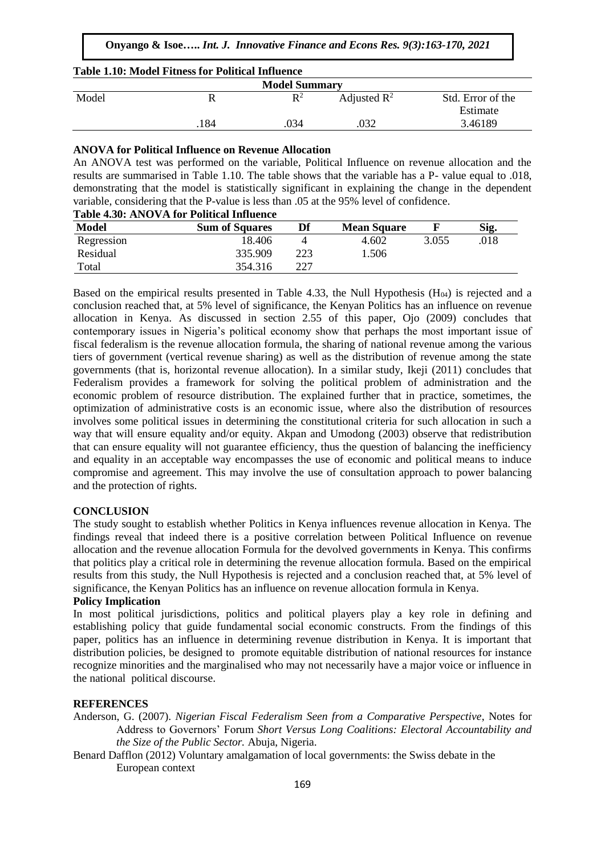|  |  |  | <b>Table 1.10: Model Fitness for Political Influence</b> |
|--|--|--|----------------------------------------------------------|
|  |  |  |                                                          |

| <b>Model Summary</b> |     |                |                         |                   |
|----------------------|-----|----------------|-------------------------|-------------------|
| Model                |     | $\mathbf{R}^2$ | Adjusted $\mathbb{R}^2$ | Std. Error of the |
|                      |     |                |                         | Estimate          |
|                      | 184 | 034            | .032                    | 3.46189           |

#### **ANOVA for Political Influence on Revenue Allocation**

An ANOVA test was performed on the variable, Political Influence on revenue allocation and the results are summarised in Table 1.10. The table shows that the variable has a P- value equal to .018, demonstrating that the model is statistically significant in explaining the change in the dependent variable, considering that the P-value is less than .05 at the 95% level of confidence.

| Table 4.30: ANOVA for Political Influence |  |  |
|-------------------------------------------|--|--|
|-------------------------------------------|--|--|

| Model      | <b>Sum of Squares</b> | Df  | <b>Mean Square</b> |       | Sig. |
|------------|-----------------------|-----|--------------------|-------|------|
| Regression | 18.406                |     | 4.602              | 3.055 | 018  |
| Residual   | 335.909               | 223 | 1.506              |       |      |
| Total      | 354.316               | າາາ |                    |       |      |

Based on the empirical results presented in Table 4.33, the Null Hypothesis  $(H<sub>04</sub>)$  is rejected and a conclusion reached that, at 5% level of significance, the Kenyan Politics has an influence on revenue allocation in Kenya. As discussed in section 2.55 of this paper, Ojo (2009) concludes that contemporary issues in Nigeria's political economy show that perhaps the most important issue of fiscal federalism is the revenue allocation formula, the sharing of national revenue among the various tiers of government (vertical revenue sharing) as well as the distribution of revenue among the state governments (that is, horizontal revenue allocation). In a similar study, Ikeji (2011) concludes that Federalism provides a framework for solving the political problem of administration and the economic problem of resource distribution. The explained further that in practice, sometimes, the optimization of administrative costs is an economic issue, where also the distribution of resources involves some political issues in determining the constitutional criteria for such allocation in such a way that will ensure equality and/or equity. Akpan and Umodong (2003) observe that redistribution that can ensure equality will not guarantee efficiency, thus the question of balancing the inefficiency and equality in an acceptable way encompasses the use of economic and political means to induce compromise and agreement. This may involve the use of consultation approach to power balancing and the protection of rights.

#### **CONCLUSION**

The study sought to establish whether Politics in Kenya influences revenue allocation in Kenya. The findings reveal that indeed there is a positive correlation between Political Influence on revenue allocation and the revenue allocation Formula for the devolved governments in Kenya. This confirms that politics play a critical role in determining the revenue allocation formula. Based on the empirical results from this study, the Null Hypothesis is rejected and a conclusion reached that, at 5% level of significance, the Kenyan Politics has an influence on revenue allocation formula in Kenya.

#### **Policy Implication**

In most political jurisdictions, politics and political players play a key role in defining and establishing policy that guide fundamental social economic constructs. From the findings of this paper, politics has an influence in determining revenue distribution in Kenya. It is important that distribution policies, be designed to promote equitable distribution of national resources for instance recognize minorities and the marginalised who may not necessarily have a major voice or influence in the national political discourse.

#### **REFERENCES**

Anderson, G. (2007). *Nigerian Fiscal Federalism Seen from a Comparative Perspective*, Notes for Address to Governors' Forum *Short Versus Long Coalitions: Electoral Accountability and the Size of the Public Sector.* Abuja, Nigeria.

Benard Dafflon (2012) Voluntary amalgamation of local governments: the Swiss debate in the European context